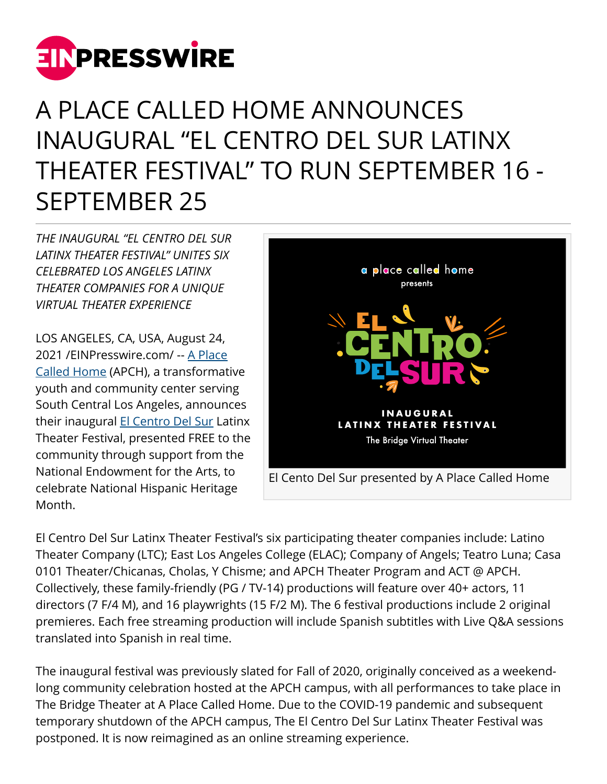

## A PLACE CALLED HOME ANNOUNCES INAUGURAL "EL CENTRO DEL SUR LATINX THEATER FESTIVAL" TO RUN SEPTEMBER 16 - SEPTEMBER 25

*THE INAUGURAL "EL CENTRO DEL SUR LATINX THEATER FESTIVAL" UNITES SIX CELEBRATED LOS ANGELES LATINX THEATER COMPANIES FOR A UNIQUE VIRTUAL THEATER EXPERIENCE*

LOS ANGELES, CA, USA, August 24, 2021 /[EINPresswire.com](http://www.einpresswire.com)/ -- [A Place](https://apch.org) [Called Home](https://apch.org) (APCH), a transformative youth and community center serving South Central Los Angeles, announces their inaugural [El Centro Del Sur](https://apch.org/elcentrodelsur) Latinx Theater Festival, presented FREE to the community through support from the National Endowment for the Arts, to celebrate National Hispanic Heritage Month.



El Centro Del Sur Latinx Theater Festival's six participating theater companies include: Latino Theater Company (LTC); East Los Angeles College (ELAC); Company of Angels; Teatro Luna; Casa 0101 Theater/Chicanas, Cholas, Y Chisme; and APCH Theater Program and ACT @ APCH. Collectively, these family-friendly (PG / TV-14) productions will feature over 40+ actors, 11 directors (7 F/4 M), and 16 playwrights (15 F/2 M). The 6 festival productions include 2 original premieres. Each free streaming production will include Spanish subtitles with Live Q&A sessions translated into Spanish in real time.

The inaugural festival was previously slated for Fall of 2020, originally conceived as a weekendlong community celebration hosted at the APCH campus, with all performances to take place in The Bridge Theater at A Place Called Home. Due to the COVID-19 pandemic and subsequent temporary shutdown of the APCH campus, The El Centro Del Sur Latinx Theater Festival was postponed. It is now reimagined as an online streaming experience.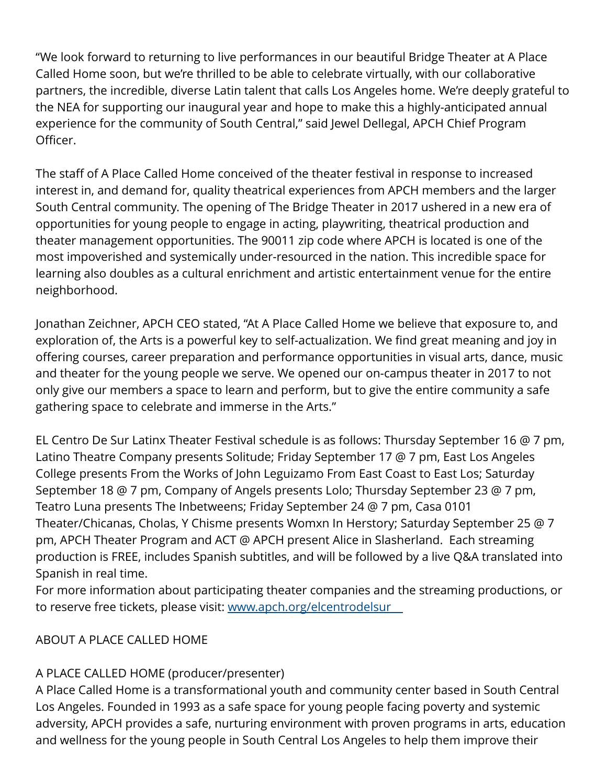"We look forward to returning to live performances in our beautiful Bridge Theater at A Place Called Home soon, but we're thrilled to be able to celebrate virtually, with our collaborative partners, the incredible, diverse Latin talent that calls Los Angeles home. We're deeply grateful to the NEA for supporting our inaugural year and hope to make this a highly-anticipated annual experience for the community of South Central," said Jewel Dellegal, APCH Chief Program Officer.

The staff of A Place Called Home conceived of the theater festival in response to increased interest in, and demand for, quality theatrical experiences from APCH members and the larger South Central community. The opening of The Bridge Theater in 2017 ushered in a new era of opportunities for young people to engage in acting, playwriting, theatrical production and theater management opportunities. The 90011 zip code where APCH is located is one of the most impoverished and systemically under-resourced in the nation. This incredible space for learning also doubles as a cultural enrichment and artistic entertainment venue for the entire neighborhood.

Jonathan Zeichner, APCH CEO stated, "At A Place Called Home we believe that exposure to, and exploration of, the Arts is a powerful key to self-actualization. We find great meaning and joy in offering courses, career preparation and performance opportunities in visual arts, dance, music and theater for the young people we serve. We opened our on-campus theater in 2017 to not only give our members a space to learn and perform, but to give the entire community a safe gathering space to celebrate and immerse in the Arts."

EL Centro De Sur Latinx Theater Festival schedule is as follows: Thursday September 16 @ 7 pm, Latino Theatre Company presents Solitude; Friday September 17 @ 7 pm, East Los Angeles College presents From the Works of John Leguizamo From East Coast to East Los; Saturday September 18 @ 7 pm, Company of Angels presents Lolo; Thursday September 23 @ 7 pm, Teatro Luna presents The Inbetweens; Friday September 24 @ 7 pm, Casa 0101 Theater/Chicanas, Cholas, Y Chisme presents Womxn In Herstory; Saturday September 25 @ 7 pm, APCH Theater Program and ACT @ APCH present Alice in Slasherland. Each streaming production is FREE, includes Spanish subtitles, and will be followed by a live Q&A translated into Spanish in real time.

For more information about participating theater companies and the streaming productions, or to reserve free tickets, please visit: [www.apch.org/elcentrodelsur](http://www.apch.org/elcentrodelsur )

## ABOUT A PLACE CALLED HOME

## A PLACE CALLED HOME (producer/presenter)

A Place Called Home is a transformational youth and community center based in South Central Los Angeles. Founded in 1993 as a safe space for young people facing poverty and systemic adversity, APCH provides a safe, nurturing environment with proven programs in arts, education and wellness for the young people in South Central Los Angeles to help them improve their